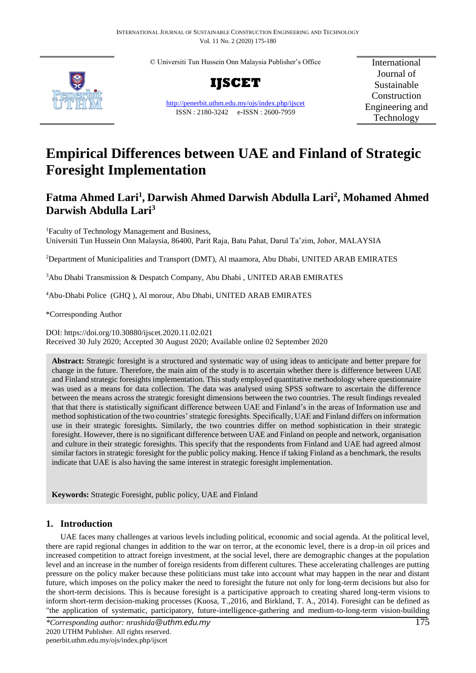© Universiti Tun Hussein Onn Malaysia Publisher's Office



**IJSCET**

<http://penerbit.uthm.edu.my/ojs/index.php/ijscet> ISSN : 2180-3242 e-ISSN : 2600-7959

International Journal of Sustainable Construction Engineering and Technology

# **Empirical Differences between UAE and Finland of Strategic Foresight Implementation**

# **Fatma Ahmed Lari<sup>1</sup> , Darwish Ahmed Darwish Abdulla Lari<sup>2</sup> , Mohamed Ahmed Darwish Abdulla Lari<sup>3</sup>**

<sup>1</sup>Faculty of Technology Management and Business, Universiti Tun Hussein Onn Malaysia, 86400, Parit Raja, Batu Pahat, Darul Ta'zim, Johor, MALAYSIA

<sup>2</sup>Department of Municipalities and Transport (DMT), Al maamora, Abu Dhabi, UNITED ARAB EMIRATES

<sup>3</sup>Abu Dhabi Transmission & Despatch Company, Abu Dhabi , UNITED ARAB EMIRATES

<sup>4</sup>Abu-Dhabi Police (GHQ ), Al morour, Abu Dhabi, UNITED ARAB EMIRATES

\*Corresponding Author

DOI: https://doi.org/10.30880/ijscet.2020.11.02.021 Received 30 July 2020; Accepted 30 August 2020; Available online 02 September 2020

**Abstract:** Strategic foresight is a structured and systematic way of using ideas to anticipate and better prepare for change in the future. Therefore, the main aim of the study is to ascertain whether there is difference between UAE and Finland strategic foresights implementation. This study employed quantitative methodology where questionnaire was used as a means for data collection. The data was analysed using SPSS software to ascertain the difference between the means across the strategic foresight dimensions between the two countries. The result findings revealed that that there is statistically significant difference between UAE and Finland's in the areas of Information use and method sophistication of the two countries' strategic foresights. Specifically, UAE and Finland differs on information use in their strategic foresights. Similarly, the two countries differ on method sophistication in their strategic foresight. However, there is no significant difference between UAE and Finland on people and network, organisation and culture in their strategic foresights. This specify that the respondents from Finland and UAE had agreed almost similar factors in strategic foresight for the public policy making. Hence if taking Finland as a benchmark, the results indicate that UAE is also having the same interest in strategic foresight implementation.

**Keywords:** Strategic Foresight, public policy, UAE and Finland

# **1. Introduction**

UAE faces many challenges at various levels including political, economic and social agenda. At the political level, there are rapid regional changes in addition to the war on terror, at the economic level, there is a drop-in oil prices and increased competition to attract foreign investment, at the social level, there are demographic changes at the population level and an increase in the number of foreign residents from different cultures. These accelerating challenges are putting pressure on the policy maker because these politicians must take into account what may happen in the near and distant future, which imposes on the policy maker the need to foresight the future not only for long-term decisions but also for the short-term decisions. This is because foresight is a participative approach to creating shared long-term visions to inform short-term decision-making processes (Kuosa, T.,2016, and Birkland, T. A., 2014). Foresight can be defined as "the application of systematic, participatory, future-intelligence-gathering and medium-to-long-term vision-building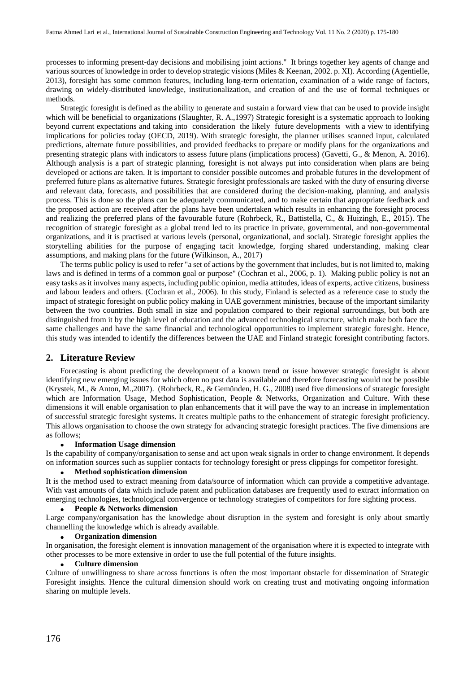processes to informing present-day decisions and mobilising joint actions." It brings together key agents of change and various sources of knowledge in order to develop strategic visions (Miles & Keenan, 2002. p. XI). According (Agentielle, 2013), foresight has some common features, including long-term orientation, examination of a wide range of factors, drawing on widely-distributed knowledge, institutionalization, and creation of and the use of formal techniques or methods.

Strategic foresight is defined as the ability to generate and sustain a forward view that can be used to provide insight which will be beneficial to organizations (Slaughter, R. A.,1997) Strategic foresight is a systematic approach to looking beyond current expectations and taking into consideration the likely future developments with a view to identifying implications for policies today (OECD, 2019). With strategic foresight, the planner utilises scanned input, calculated predictions, alternate future possibilities, and provided feedbacks to prepare or modify plans for the organizations and presenting strategic plans with indicators to assess future plans (implications process) (Gavetti, G., & Menon, A. 2016). Although analysis is a part of strategic planning, foresight is not always put into consideration when plans are being developed or actions are taken. It is important to consider possible outcomes and probable futures in the development of preferred future plans as alternative futures. Strategic foresight professionals are tasked with the duty of ensuring diverse and relevant data, forecasts, and possibilities that are considered during the decision-making, planning, and analysis process. This is done so the plans can be adequately communicated, and to make certain that appropriate feedback and the proposed action are received after the plans have been undertaken which results in enhancing the foresight process and realizing the preferred plans of the favourable future (Rohrbeck, R., Battistella, C., & Huizingh, E., 2015). The recognition of strategic foresight as a global trend led to its practice in private, governmental, and non-governmental organizations, and it is practised at various levels (personal, organizational, and social). Strategic foresight applies the storytelling abilities for the purpose of engaging tacit knowledge, forging shared understanding, making clear assumptions, and making plans for the future (Wilkinson, A., 2017)

The terms public policy is used to refer "a set of actions by the government that includes, but is not limited to, making laws and is defined in terms of a common goal or purpose" (Cochran et al., 2006, p. 1). Making public policy is not an easy tasks as it involves many aspects, including public opinion, media attitudes, ideas of experts, active citizens, business and labour leaders and others. (Cochran et al., 2006). In this study, Finland is selected as a reference case to study the impact of strategic foresight on public policy making in UAE government ministries, because of the important similarity between the two countries. Both small in size and population compared to their regional surroundings, but both are distinguished from it by the high level of education and the advanced technological structure, which make both face the same challenges and have the same financial and technological opportunities to implement strategic foresight. Hence, this study was intended to identify the differences between the UAE and Finland strategic foresight contributing factors.

#### **2. Literature Review**

Forecasting is about predicting the development of a known trend or issue however strategic foresight is about identifying new emerging issues for which often no past data is available and therefore forecasting would not be possible (Krystek, M., & Anton, M.,2007). (Rohrbeck, R., & Gemünden, H. G., 2008) used five dimensions of strategic foresight which are Information Usage, Method Sophistication, People & Networks, Organization and Culture. With these dimensions it will enable organisation to plan enhancements that it will pave the way to an increase in implementation of successful strategic foresight systems. It creates multiple paths to the enhancement of strategic foresight proficiency. This allows organisation to choose the own strategy for advancing strategic foresight practices. The five dimensions are as follows;

#### **Information Usage dimension**

Is the capability of company/organisation to sense and act upon weak signals in order to change environment. It depends on information sources such as supplier contacts for technology foresight or press clippings for competitor foresight.

#### **Method sophistication dimension**

It is the method used to extract meaning from data/source of information which can provide a competitive advantage. With vast amounts of data which include patent and publication databases are frequently used to extract information on emerging technologies, technological convergence or technology strategies of competitors for fore sighting process.

#### **People & Networks dimension**

Large company/organisation has the knowledge about disruption in the system and foresight is only about smartly channelling the knowledge which is already available.

#### **Organization dimension**

In organisation, the foresight element is innovation management of the organisation where it is expected to integrate with other processes to be more extensive in order to use the full potential of the future insights.

#### **Culture dimension**

Culture of unwillingness to share across functions is often the most important obstacle for dissemination of Strategic Foresight insights. Hence the cultural dimension should work on creating trust and motivating ongoing information sharing on multiple levels.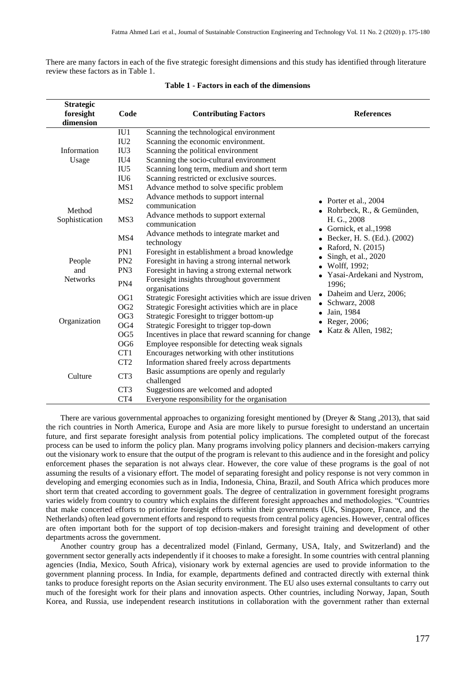There are many factors in each of the five strategic foresight dimensions and this study has identified through literature review these factors as in Table 1.

| <b>Strategic</b>         |                 |                                                           |                                                                                                                                                      |  |  |  |
|--------------------------|-----------------|-----------------------------------------------------------|------------------------------------------------------------------------------------------------------------------------------------------------------|--|--|--|
| foresight                | Code            | <b>Contributing Factors</b>                               | <b>References</b>                                                                                                                                    |  |  |  |
| dimension                |                 |                                                           |                                                                                                                                                      |  |  |  |
|                          | IU1             | Scanning the technological environment                    |                                                                                                                                                      |  |  |  |
|                          | IU2             | Scanning the economic environment.                        |                                                                                                                                                      |  |  |  |
| Information              | IU <sub>3</sub> | Scanning the political environment                        |                                                                                                                                                      |  |  |  |
| Usage                    | IU <sub>4</sub> | Scanning the socio-cultural environment                   |                                                                                                                                                      |  |  |  |
|                          | IU <sub>5</sub> | Scanning long term, medium and short term                 |                                                                                                                                                      |  |  |  |
|                          | IU <sub>6</sub> | Scanning restricted or exclusive sources.                 |                                                                                                                                                      |  |  |  |
|                          | MS1             | Advance method to solve specific problem                  |                                                                                                                                                      |  |  |  |
| Method<br>Sophistication | MS <sub>2</sub> | Advance methods to support internal<br>communication      | • Porter et al., $2004$<br>Rohrbeck, R., & Gemünden,<br>H. G., 2008<br>• Gornick, et al., $1998$<br>Becker, H. S. (Ed.). (2002)<br>Raford, N. (2015) |  |  |  |
|                          | MS3             | Advance methods to support external<br>communication      |                                                                                                                                                      |  |  |  |
|                          | MS4             | Advance methods to integrate market and<br>technology     |                                                                                                                                                      |  |  |  |
|                          | PN1             | Foresight in establishment a broad knowledge              |                                                                                                                                                      |  |  |  |
| People                   | PN <sub>2</sub> | Foresight in having a strong internal network             | Singh, et al., 2020<br>Wolff, 1992;                                                                                                                  |  |  |  |
| and                      | PN3             | Foresight in having a strong external network             |                                                                                                                                                      |  |  |  |
| <b>Networks</b>          | PN4             | Foresight insights throughout government<br>organisations | Yasai-Ardekani and Nystrom,<br>1996;                                                                                                                 |  |  |  |
|                          | OG1             | Strategic Foresight activities which are issue driven     | Daheim and Uerz, 2006;                                                                                                                               |  |  |  |
|                          | OG <sub>2</sub> | Strategic Foresight activities which are in place         | Schwarz, 2008                                                                                                                                        |  |  |  |
| Organization             | OG <sub>3</sub> | Strategic Foresight to trigger bottom-up                  | Jain, 1984<br>Reger, 2006;                                                                                                                           |  |  |  |
|                          | OG4             | Strategic Foresight to trigger top-down                   |                                                                                                                                                      |  |  |  |
|                          | OG5             | Incentives in place that reward scanning for change       | • Katz & Allen, 1982;                                                                                                                                |  |  |  |
|                          | OG <sub>6</sub> | Employee responsible for detecting weak signals           |                                                                                                                                                      |  |  |  |
|                          | CT1             | Encourages networking with other institutions             |                                                                                                                                                      |  |  |  |
|                          | CT <sub>2</sub> | Information shared freely across departments              |                                                                                                                                                      |  |  |  |
| Culture                  | CT3             | Basic assumptions are openly and regularly<br>challenged  |                                                                                                                                                      |  |  |  |
|                          | CT <sub>3</sub> | Suggestions are welcomed and adopted                      |                                                                                                                                                      |  |  |  |
|                          | CT4             | Everyone responsibility for the organisation              |                                                                                                                                                      |  |  |  |

#### **Table 1 - Factors in each of the dimensions**

There are various governmental approaches to organizing foresight mentioned by (Dreyer & Stang ,2013), that said the rich countries in North America, Europe and Asia are more likely to pursue foresight to understand an uncertain future, and first separate foresight analysis from potential policy implications. The completed output of the forecast process can be used to inform the policy plan. Many programs involving policy planners and decision-makers carrying out the visionary work to ensure that the output of the program is relevant to this audience and in the foresight and policy enforcement phases the separation is not always clear. However, the core value of these programs is the goal of not assuming the results of a visionary effort. The model of separating foresight and policy response is not very common in developing and emerging economies such as in India, Indonesia, China, Brazil, and South Africa which produces more short term that created according to government goals. The degree of centralization in government foresight programs varies widely from country to country which explains the different foresight approaches and methodologies. "Countries that make concerted efforts to prioritize foresight efforts within their governments (UK, Singapore, France, and the Netherlands) often lead government efforts and respond to requests from central policy agencies. However, central offices are often important both for the support of top decision-makers and foresight training and development of other departments across the government.

Another country group has a decentralized model (Finland, Germany, USA, Italy, and Switzerland) and the government sector generally acts independently if it chooses to make a foresight. In some countries with central planning agencies (India, Mexico, South Africa), visionary work by external agencies are used to provide information to the government planning process. In India, for example, departments defined and contracted directly with external think tanks to produce foresight reports on the Asian security environment. The EU also uses external consultants to carry out much of the foresight work for their plans and innovation aspects. Other countries, including Norway, Japan, South Korea, and Russia, use independent research institutions in collaboration with the government rather than external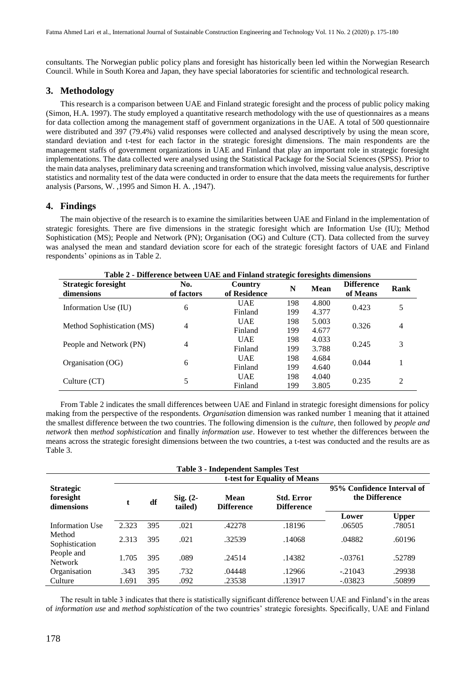consultants. The Norwegian public policy plans and foresight has historically been led within the Norwegian Research Council. While in South Korea and Japan, they have special laboratories for scientific and technological research.

#### **3. Methodology**

This research is a comparison between UAE and Finland strategic foresight and the process of public policy making (Simon, H.A. 1997). The study employed a quantitative research methodology with the use of questionnaires as a means for data collection among the management staff of government organizations in the UAE. A total of 500 questionnaire were distributed and 397 (79.4%) valid responses were collected and analysed descriptively by using the mean score, standard deviation and t-test for each factor in the strategic foresight dimensions. The main respondents are the management staffs of government organizations in UAE and Finland that play an important role in strategic foresight implementations. The data collected were analysed using the Statistical Package for the Social Sciences (SPSS). Prior to the main data analyses, preliminary data screening and transformation which involved, missing value analysis, descriptive statistics and normality test of the data were conducted in order to ensure that the data meets the requirements for further analysis (Parsons, W. ,1995 and Simon H. A. ,1947).

## **4. Findings**

The main objective of the research is to examine the similarities between UAE and Finland in the implementation of strategic foresights. There are five dimensions in the strategic foresight which are Information Use (IU); Method Sophistication (MS); People and Network (PN); Organisation (OG) and Culture (CT). Data collected from the survey was analysed the mean and standard deviation score for each of the strategic foresight factors of UAE and Finland respondents' opinions as in Table 2.

| Table 2 - Difference between OAL and Filiand strategic foresignts difficulties |                   |                         |     |             |                               |                |  |  |
|--------------------------------------------------------------------------------|-------------------|-------------------------|-----|-------------|-------------------------------|----------------|--|--|
| <b>Strategic foresight</b><br>dimensions                                       | No.<br>of factors | Country<br>of Residence | N   | <b>Mean</b> | <b>Difference</b><br>of Means | Rank           |  |  |
|                                                                                | 6                 | <b>UAE</b>              | 198 | 4.800       | 0.423                         | 5              |  |  |
| Information Use (IU)                                                           |                   | Finland                 | 199 | 4.377       |                               |                |  |  |
|                                                                                |                   | <b>UAE</b>              | 198 | 5.003       | 0.326                         | $\overline{4}$ |  |  |
| Method Sophistication (MS)                                                     | $\overline{4}$    | Finland                 | 199 | 4.677       |                               |                |  |  |
|                                                                                | $\overline{4}$    | <b>UAE</b>              | 198 | 4.033       | 0.245                         | 3              |  |  |
| People and Network (PN)                                                        |                   | Finland                 | 199 | 3.788       |                               |                |  |  |
|                                                                                |                   | <b>UAE</b>              | 198 | 4.684       | 0.044                         |                |  |  |
| Organisation (OG)                                                              | 6                 | Finland                 | 199 | 4.640       |                               |                |  |  |
|                                                                                |                   | <b>UAE</b>              | 198 | 4.040       |                               | 2              |  |  |
| Culture $(CT)$                                                                 | 5                 | Finland                 | 199 | 3.805       | 0.235                         |                |  |  |

**Table 2 - Difference between UAE and Finland strategic foresights dimensions**

From Table 2 indicates the small differences between UAE and Finland in strategic foresight dimensions for policy making from the perspective of the respondents. *Organisatio*n dimension was ranked number 1 meaning that it attained the smallest difference between the two countries. The following dimension is the *culture*, then followed by *people and network* then *method sophistication* and finally *information use*. However to test whether the differences between the means across the strategic foresight dimensions between the two countries, a t-test was conducted and the results are as Table 3.

| <b>Table 3 - Independent Samples Test</b>   |                              |     |                       |                           |                                        |                                              |              |  |  |
|---------------------------------------------|------------------------------|-----|-----------------------|---------------------------|----------------------------------------|----------------------------------------------|--------------|--|--|
|                                             | t-test for Equality of Means |     |                       |                           |                                        |                                              |              |  |  |
| <b>Strategic</b><br>foresight<br>dimensions | t.                           | df  | $Sig. (2-$<br>tailed) | Mean<br><b>Difference</b> | <b>Std. Error</b><br><b>Difference</b> | 95% Confidence Interval of<br>the Difference |              |  |  |
|                                             |                              |     |                       |                           |                                        | Lower                                        | <b>Upper</b> |  |  |
| Information Use                             | 2.323                        | 395 | .021                  | .42278                    | .18196                                 | .06505                                       | .78051       |  |  |
| Method<br>Sophistication                    | 2.313                        | 395 | .021                  | .32539                    | .14068                                 | .04882                                       | .60196       |  |  |
| People and<br><b>Network</b>                | 1.705                        | 395 | .089                  | .24514                    | .14382                                 | $-.03761$                                    | .52789       |  |  |
| Organisation                                | .343                         | 395 | .732                  | .04448                    | .12966                                 | $-.21043$                                    | .29938       |  |  |
| Culture                                     | 1.691                        | 395 | .092                  | .23538                    | .13917                                 | $-.03823$                                    | .50899       |  |  |

The result in table 3 indicates that there is statistically significant difference between UAE and Finland's in the areas of *information use* and *method sophistication* of the two countries' strategic foresights. Specifically, UAE and Finland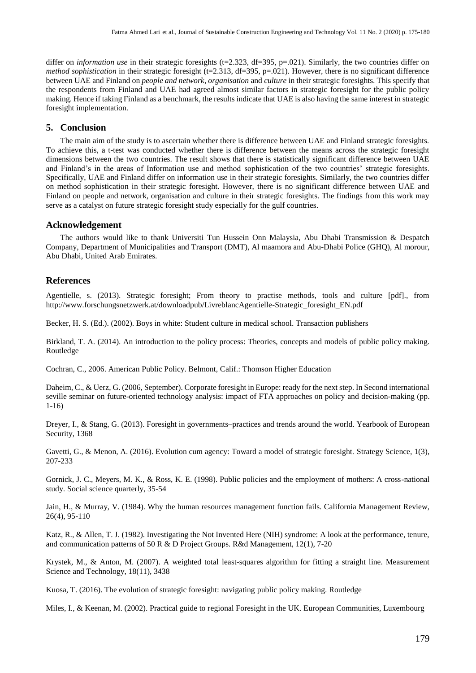differ on *information use* in their strategic foresights (t=2.323, df=395, p=.021). Similarly, the two countries differ on *method sophistication* in their strategic foresight (t=2.313, df=395, p=.021). However, there is no significant difference between UAE and Finland on *people and network*, *organisation* and *culture* in their strategic foresights. This specify that the respondents from Finland and UAE had agreed almost similar factors in strategic foresight for the public policy making. Hence if taking Finland as a benchmark, the results indicate that UAE is also having the same interest in strategic foresight implementation.

## **5. Conclusion**

The main aim of the study is to ascertain whether there is difference between UAE and Finland strategic foresights. To achieve this, a t-test was conducted whether there is difference between the means across the strategic foresight dimensions between the two countries. The result shows that there is statistically significant difference between UAE and Finland's in the areas of Information use and method sophistication of the two countries' strategic foresights. Specifically, UAE and Finland differ on information use in their strategic foresights. Similarly, the two countries differ on method sophistication in their strategic foresight. However, there is no significant difference between UAE and Finland on people and network, organisation and culture in their strategic foresights. The findings from this work may serve as a catalyst on future strategic foresight study especially for the gulf countries.

#### **Acknowledgement**

The authors would like to thank Universiti Tun Hussein Onn Malaysia, Abu Dhabi Transmission & Despatch Company, Department of Municipalities and Transport (DMT), Al maamora and Abu-Dhabi Police (GHQ), Al morour, Abu Dhabi, United Arab Emirates.

#### **References**

Agentielle, s. (2013). Strategic foresight; From theory to practise methods, tools and culture [pdf]., from [http://www.forschungsnetzwerk.at/downloadpub/LivreblancAgentielle-Strategic\\_foresight\\_EN.pdf](http://www.forschungsnetzwerk.at/downloadpub/LivreblancAgentielle-Strategic_foresight_EN.pdf)

Becker, H. S. (Ed.). (2002). Boys in white: Student culture in medical school. Transaction publishers

Birkland, T. A. (2014). An introduction to the policy process: Theories, concepts and models of public policy making. Routledge

Cochran, C., 2006. American Public Policy. Belmont, Calif.: Thomson Higher Education

Daheim, C., & Uerz, G. (2006, September). Corporate foresight in Europe: ready for the next step. In Second international seville seminar on future-oriented technology analysis: impact of FTA approaches on policy and decision-making (pp. 1-16)

Dreyer, I., & Stang, G. (2013). Foresight in governments–practices and trends around the world. Yearbook of European Security, 1368

Gavetti, G., & Menon, A. (2016). Evolution cum agency: Toward a model of strategic foresight. Strategy Science, 1(3), 207-233

Gornick, J. C., Meyers, M. K., & Ross, K. E. (1998). Public policies and the employment of mothers: A cross-national study. Social science quarterly, 35-54

Jain, H., & Murray, V. (1984). Why the human resources management function fails. California Management Review, 26(4), 95-110

Katz, R., & Allen, T. J. (1982). Investigating the Not Invented Here (NIH) syndrome: A look at the performance, tenure, and communication patterns of 50 R & D Project Groups. R&d Management, 12(1), 7-20

Krystek, M., & Anton, M. (2007). A weighted total least-squares algorithm for fitting a straight line. Measurement Science and Technology, 18(11), 3438

Kuosa, T. (2016). The evolution of strategic foresight: navigating public policy making. Routledge

Miles, I., & Keenan, M. (2002). Practical guide to regional Foresight in the UK. European Communities, Luxembourg